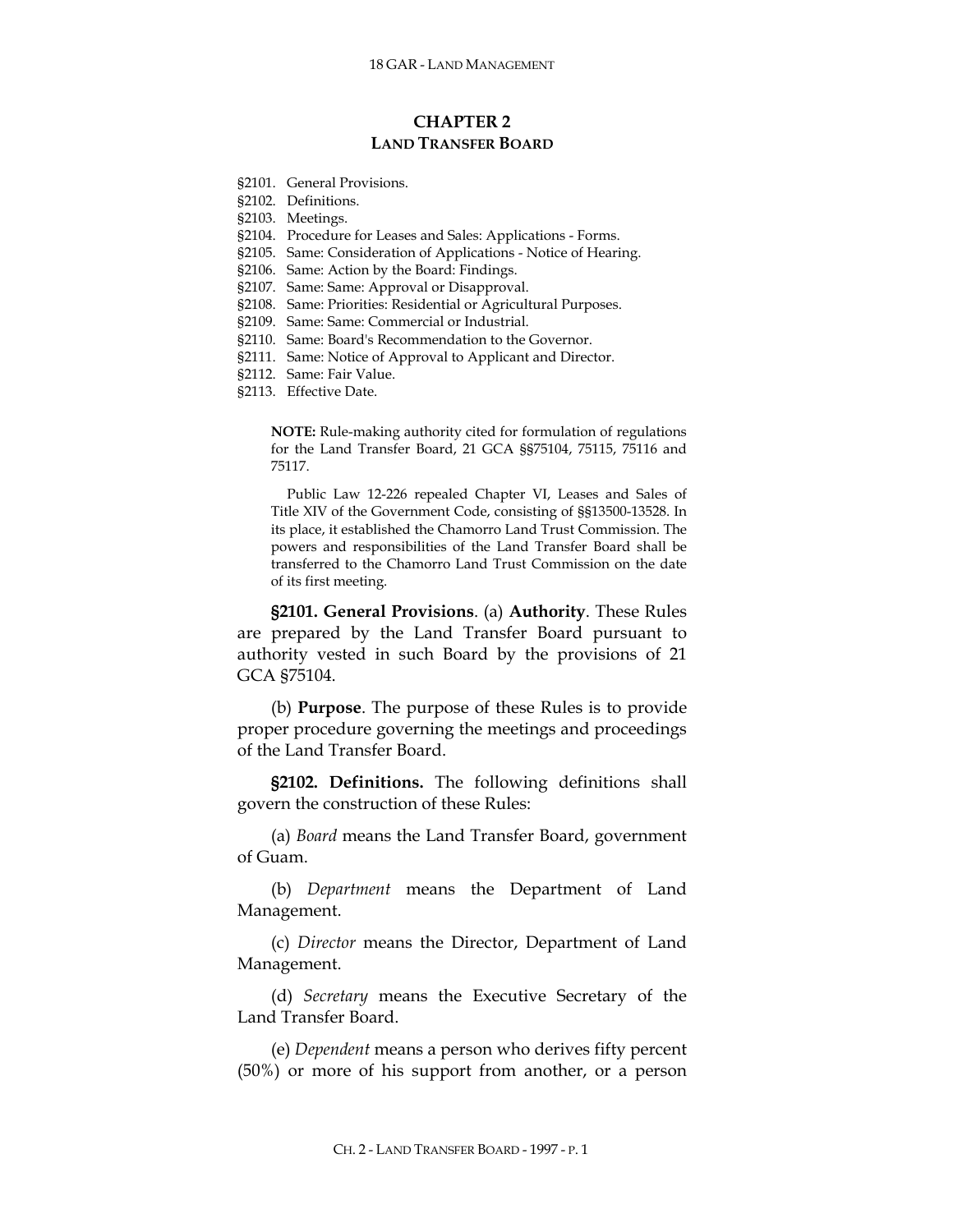## **CHAPTER 2 LAND TRANSFER BOARD**

- §2101. General Provisions.
- §2102. Definitions.
- §2103. Meetings.
- §2104. Procedure for Leases and Sales: Applications Forms.
- §2105. Same: Consideration of Applications Notice of Hearing.
- §2106. Same: Action by the Board: Findings.
- §2107. Same: Same: Approval or Disapproval.
- §2108. Same: Priorities: Residential or Agricultural Purposes.
- §2109. Same: Same: Commercial or Industrial.
- §2110. Same: Board's Recommendation to the Governor.
- §2111. Same: Notice of Approval to Applicant and Director.
- §2112. Same: Fair Value.
- §2113. Effective Date.

**NOTE:** Rule-making authority cited for formulation of regulations for the Land Transfer Board, 21 GCA §§75104, 75115, 75116 and 75117.

Public Law 12-226 repealed Chapter VI, Leases and Sales of Title XIV of the Government Code, consisting of §§13500-13528. In its place, it established the Chamorro Land Trust Commission. The powers and responsibilities of the Land Transfer Board shall be transferred to the Chamorro Land Trust Commission on the date of its first meeting.

**§2101. General Provisions**. (a) **Authority**. These Rules are prepared by the Land Transfer Board pursuant to authority vested in such Board by the provisions of 21 GCA §75104.

(b) **Purpose**. The purpose of these Rules is to provide proper procedure governing the meetings and proceedings of the Land Transfer Board.

**§2102. Definitions.** The following definitions shall govern the construction of these Rules:

(a) *Board* means the Land Transfer Board, government of Guam.

(b) *Department* means the Department of Land Management.

(c) *Director* means the Director, Department of Land Management.

(d) *Secretary* means the Executive Secretary of the Land Transfer Board.

(e) *Dependent* means a person who derives fifty percent (50%) or more of his support from another, or a person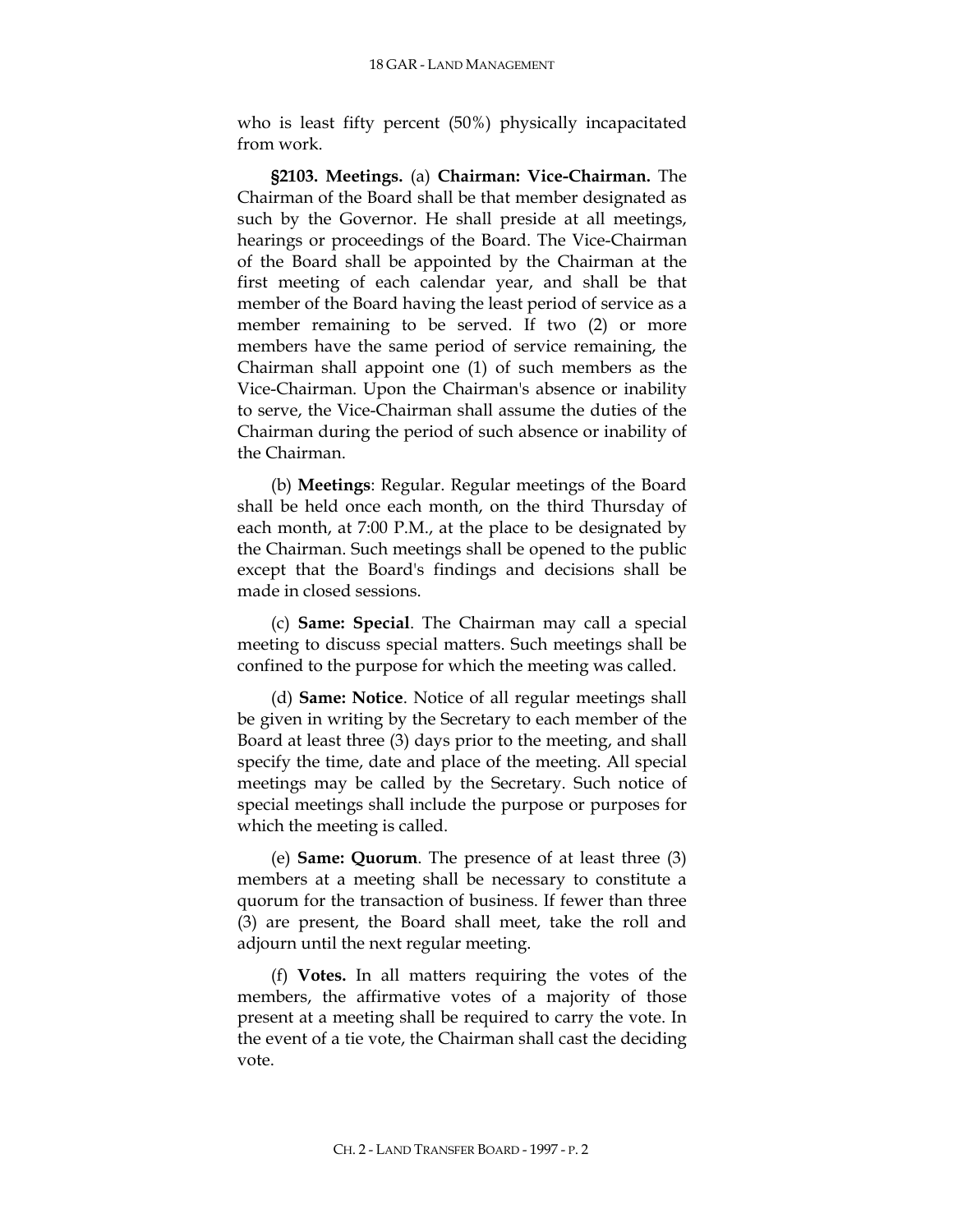who is least fifty percent (50%) physically incapacitated from work.

**§2103. Meetings.** (a) **Chairman: Vice-Chairman.** The Chairman of the Board shall be that member designated as such by the Governor. He shall preside at all meetings, hearings or proceedings of the Board. The Vice-Chairman of the Board shall be appointed by the Chairman at the first meeting of each calendar year, and shall be that member of the Board having the least period of service as a member remaining to be served. If two (2) or more members have the same period of service remaining, the Chairman shall appoint one (1) of such members as the Vice-Chairman. Upon the Chairman's absence or inability to serve, the Vice-Chairman shall assume the duties of the Chairman during the period of such absence or inability of the Chairman.

(b) **Meetings**: Regular. Regular meetings of the Board shall be held once each month, on the third Thursday of each month, at 7:00 P.M., at the place to be designated by the Chairman. Such meetings shall be opened to the public except that the Board's findings and decisions shall be made in closed sessions.

(c) **Same: Special**. The Chairman may call a special meeting to discuss special matters. Such meetings shall be confined to the purpose for which the meeting was called.

(d) **Same: Notice**. Notice of all regular meetings shall be given in writing by the Secretary to each member of the Board at least three (3) days prior to the meeting, and shall specify the time, date and place of the meeting. All special meetings may be called by the Secretary. Such notice of special meetings shall include the purpose or purposes for which the meeting is called.

(e) **Same: Quorum**. The presence of at least three (3) members at a meeting shall be necessary to constitute a quorum for the transaction of business. If fewer than three (3) are present, the Board shall meet, take the roll and adjourn until the next regular meeting.

(f) **Votes.** In all matters requiring the votes of the members, the affirmative votes of a majority of those present at a meeting shall be required to carry the vote. In the event of a tie vote, the Chairman shall cast the deciding vote.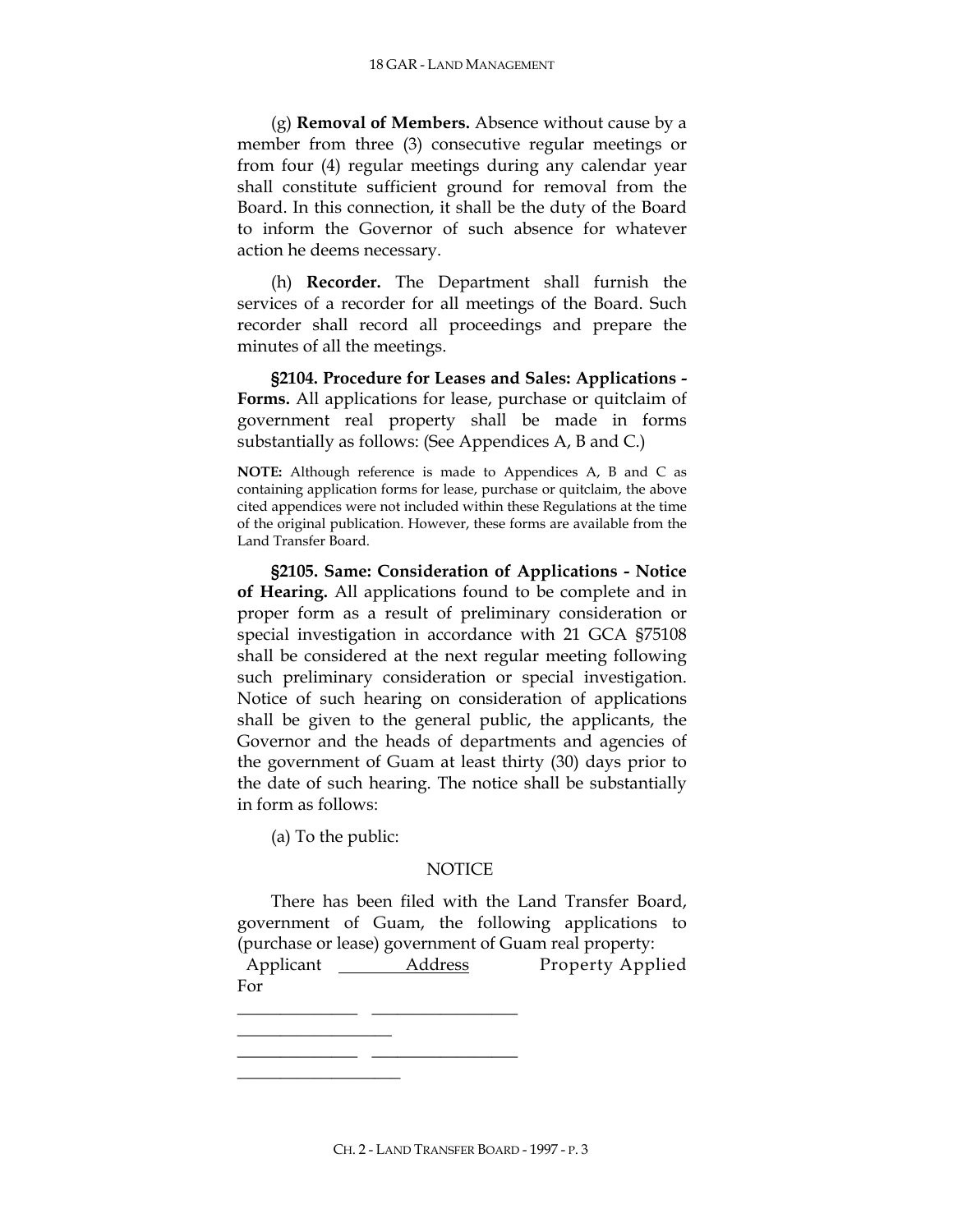(g) **Removal of Members.** Absence without cause by a member from three (3) consecutive regular meetings or from four (4) regular meetings during any calendar year shall constitute sufficient ground for removal from the Board. In this connection, it shall be the duty of the Board to inform the Governor of such absence for whatever action he deems necessary.

(h) **Recorder.** The Department shall furnish the services of a recorder for all meetings of the Board. Such recorder shall record all proceedings and prepare the minutes of all the meetings.

**§2104. Procedure for Leases and Sales: Applications - Forms.** All applications for lease, purchase or quitclaim of government real property shall be made in forms substantially as follows: (See Appendices A, B and C.)

**NOTE:** Although reference is made to Appendices A, B and C as containing application forms for lease, purchase or quitclaim, the above cited appendices were not included within these Regulations at the time of the original publication. However, these forms are available from the Land Transfer Board.

**§2105. Same: Consideration of Applications - Notice of Hearing.** All applications found to be complete and in proper form as a result of preliminary consideration or special investigation in accordance with 21 GCA §75108 shall be considered at the next regular meeting following such preliminary consideration or special investigation. Notice of such hearing on consideration of applications shall be given to the general public, the applicants, the Governor and the heads of departments and agencies of the government of Guam at least thirty (30) days prior to the date of such hearing. The notice shall be substantially in form as follows:

(a) To the public:

\_\_\_\_\_\_\_\_\_\_\_\_\_\_\_\_\_\_  $\frac{1}{\sqrt{2}}$ \_\_\_\_\_\_\_\_\_\_\_\_\_\_\_\_\_\_\_

\_\_\_\_\_\_\_\_\_\_\_\_\_\_ \_\_\_\_\_\_\_\_\_\_\_\_\_\_\_\_\_

## **NOTICE**

There has been filed with the Land Transfer Board, government of Guam, the following applications to (purchase or lease) government of Guam real property: Applicant \_\_\_\_\_\_\_ Address Property Applied For

CH. 2 - LAND TRANSFER BOARD - 1997 - P. 3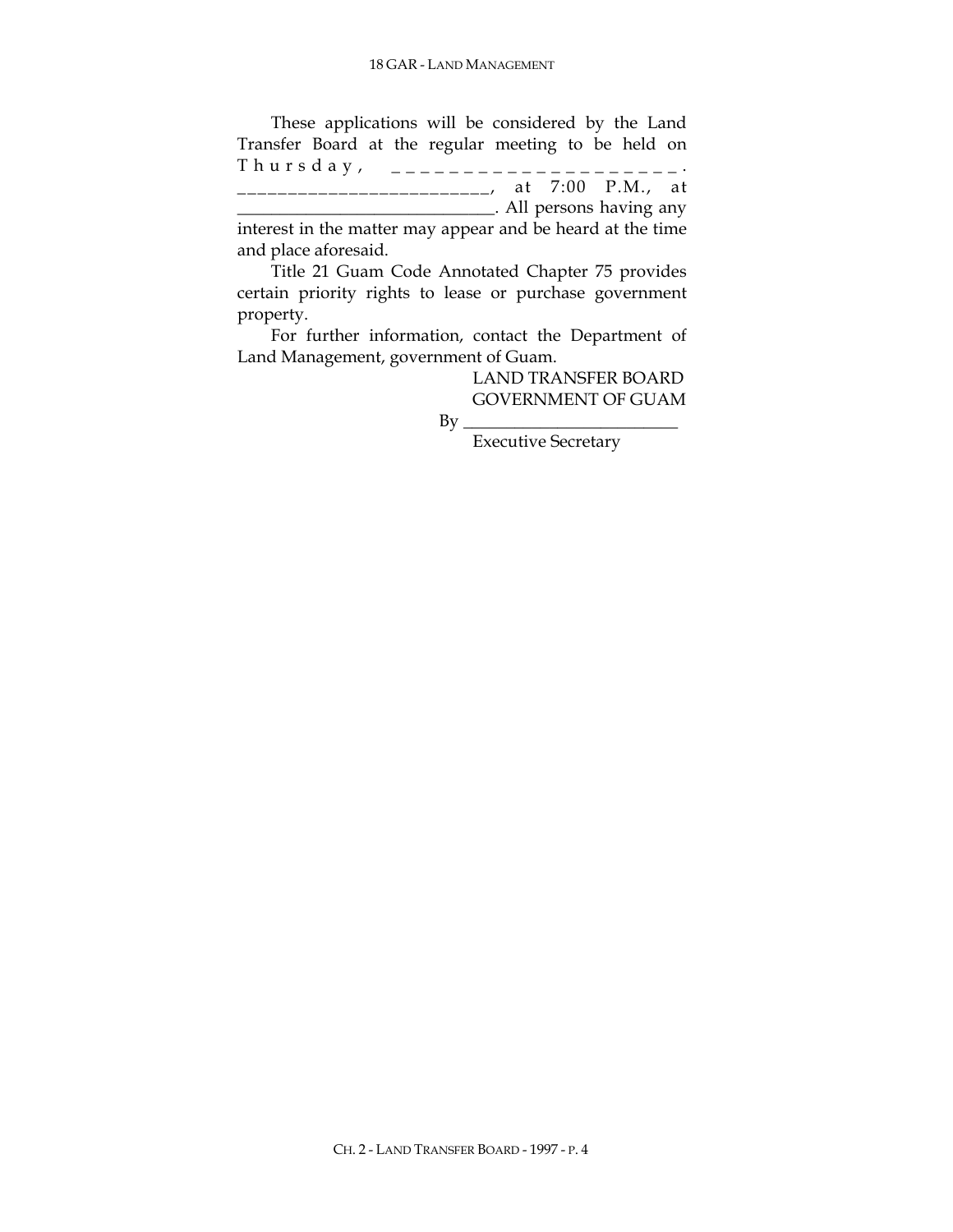These applications will be considered by the Land Transfer Board at the regular meeting to be held on Thursday, \_\_\_\_\_\_\_\_\_\_\_\_\_\_\_\_\_\_. \_\_\_\_\_\_\_\_\_\_\_\_\_\_\_\_\_\_\_\_\_\_\_\_\_, at 7:00 P.M., at \_\_\_\_\_\_\_\_\_\_\_\_\_\_\_\_\_\_\_\_\_\_\_\_\_\_\_\_\_\_. All persons having any interest in the matter may appear and be heard at the time

and place aforesaid.

Title 21 Guam Code Annotated Chapter 75 provides certain priority rights to lease or purchase government property.

For further information, contact the Department of Land Management, government of Guam.

> LAND TRANSFER BOARD GOVERNMENT OF GUAM

 $\operatorname{By}$ 

Executive Secretary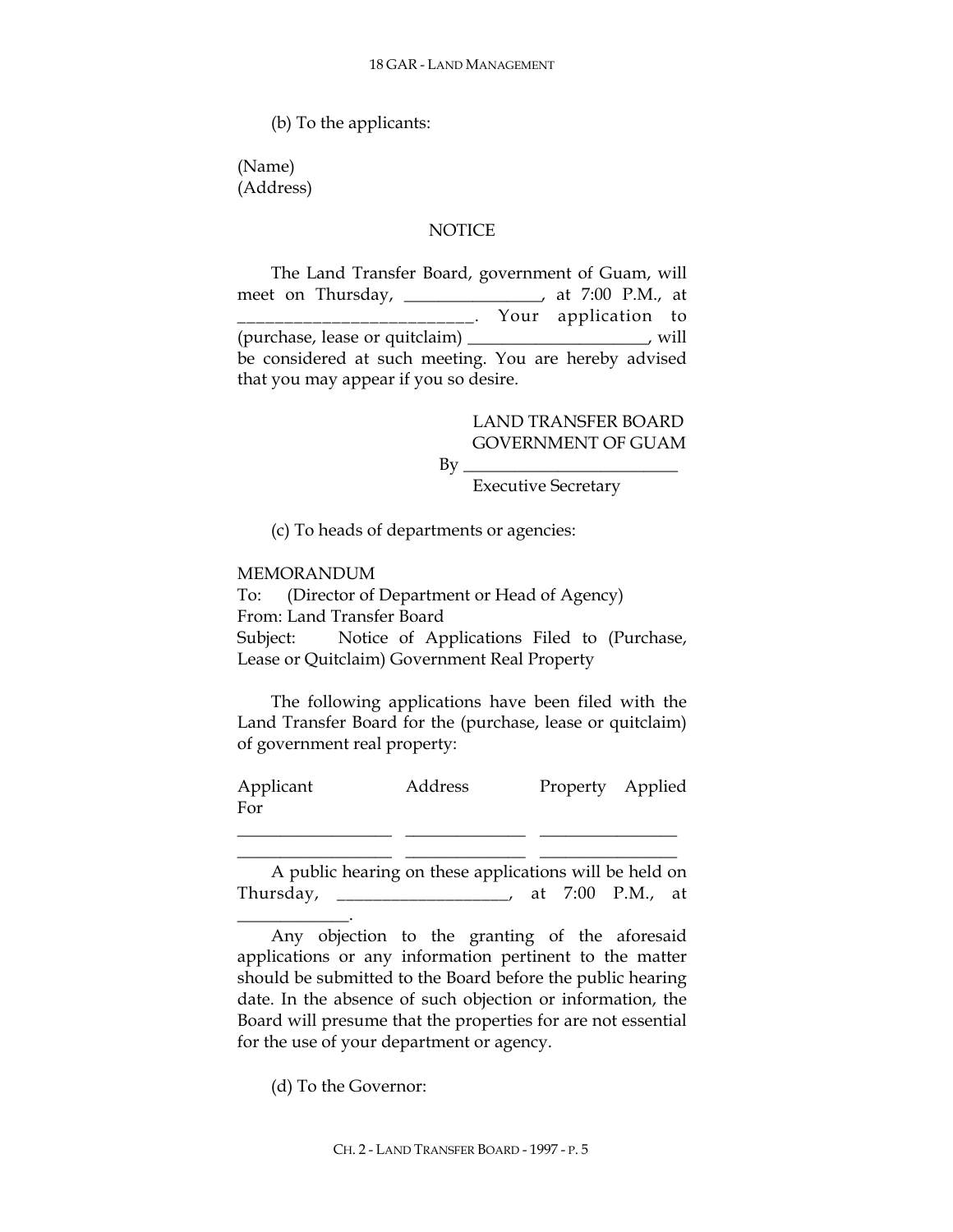(b) To the applicants:

(Name) (Address)

## **NOTICE**

The Land Transfer Board, government of Guam, will meet on Thursday, \_\_\_\_\_\_\_\_\_\_\_\_\_\_\_\_, at 7:00 P.M., at \_\_\_\_\_\_\_\_\_\_\_\_\_\_\_\_\_\_\_\_\_\_\_\_\_. Your application to (purchase, lease or quitclaim) \_\_\_\_\_\_\_\_\_\_\_\_\_\_\_\_\_\_\_\_\_, will be considered at such meeting. You are hereby advised that you may appear if you so desire.

> LAND TRANSFER BOARD GOVERNMENT OF GUAM

By \_\_\_\_\_\_\_\_\_\_\_\_\_\_\_\_\_\_\_\_\_\_\_\_\_

Executive Secretary

(c) To heads of departments or agencies:

## MEMORANDUM

\_\_\_\_\_\_\_\_\_\_\_\_\_.

To: (Director of Department or Head of Agency) From: Land Transfer Board Subject: Notice of Applications Filed to (Purchase, Lease or Quitclaim) Government Real Property

The following applications have been filed with the Land Transfer Board for the (purchase, lease or quitclaim) of government real property:

Applicant Address Property Applied For

\_\_\_\_\_\_\_\_\_\_\_\_\_\_\_\_\_\_ \_\_\_\_\_\_\_\_\_\_\_\_\_\_ \_\_\_\_\_\_\_\_\_\_\_\_\_\_\_\_ \_\_\_\_\_\_\_\_\_\_\_\_\_\_\_\_\_\_ \_\_\_\_\_\_\_\_\_\_\_\_\_\_ \_\_\_\_\_\_\_\_\_\_\_\_\_\_\_\_

A public hearing on these applications will be held on Thursday, \_\_\_\_\_\_\_\_\_\_\_\_\_\_\_\_\_\_\_, at 7:00 P.M., at

Any objection to the granting of the aforesaid applications or any information pertinent to the matter should be submitted to the Board before the public hearing date. In the absence of such objection or information, the Board will presume that the properties for are not essential for the use of your department or agency.

(d) To the Governor: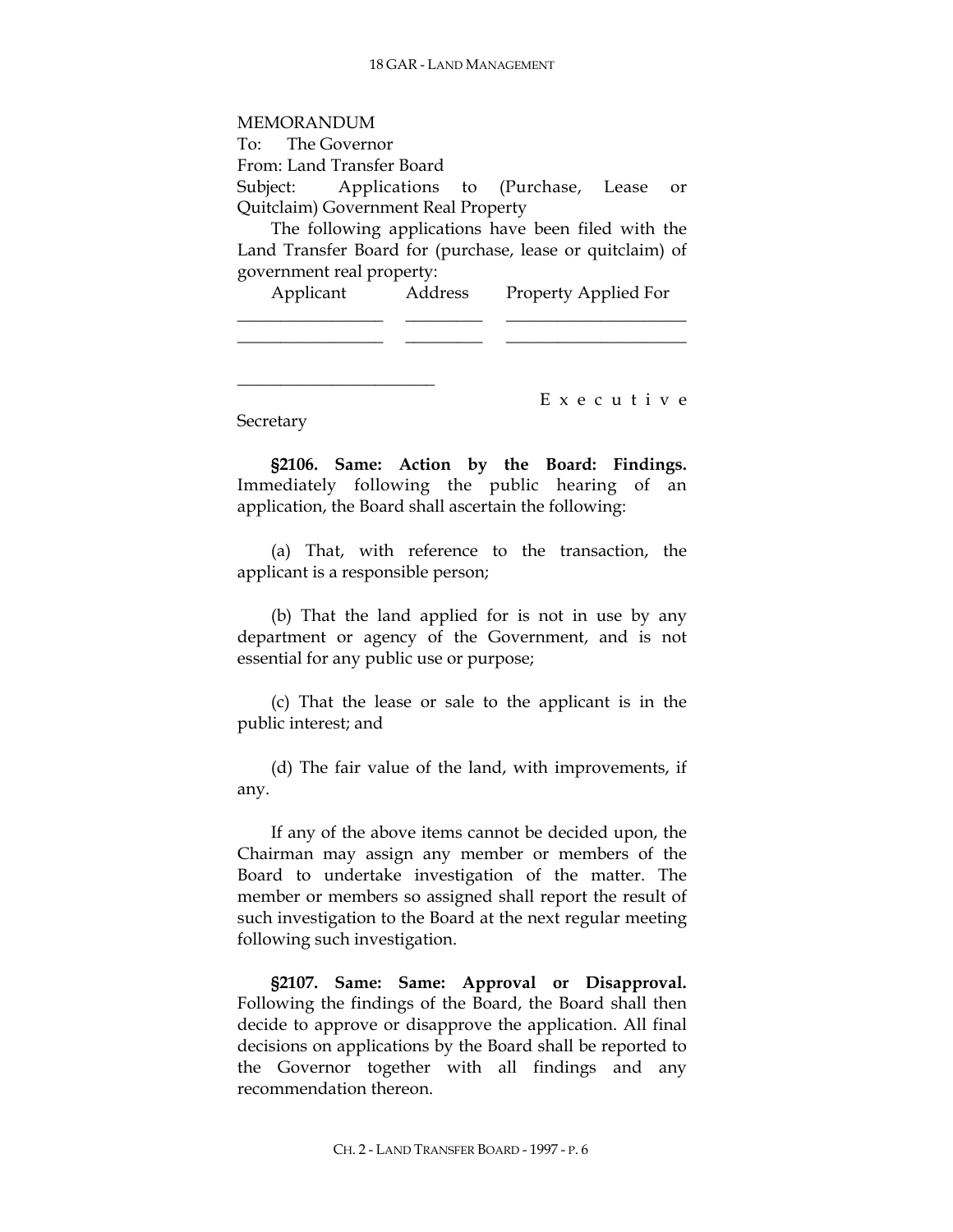MEMORANDUM To: The Governor From: Land Transfer Board Subject: Applications to (Purchase, Lease or Quitclaim) Government Real Property The following applications have been filed with the

Land Transfer Board for (purchase, lease or quitclaim) of government real property:

| Applicant | Address | Property Applied For |
|-----------|---------|----------------------|
|           |         |                      |
|           |         |                      |
|           |         | Executive            |

**Secretary** 

**§2106. Same: Action by the Board: Findings.** Immediately following the public hearing of an application, the Board shall ascertain the following:

(a) That, with reference to the transaction, the applicant is a responsible person;

(b) That the land applied for is not in use by any department or agency of the Government, and is not essential for any public use or purpose;

(c) That the lease or sale to the applicant is in the public interest; and

(d) The fair value of the land, with improvements, if any.

If any of the above items cannot be decided upon, the Chairman may assign any member or members of the Board to undertake investigation of the matter. The member or members so assigned shall report the result of such investigation to the Board at the next regular meeting following such investigation.

**§2107. Same: Same: Approval or Disapproval.** Following the findings of the Board, the Board shall then decide to approve or disapprove the application. All final decisions on applications by the Board shall be reported to the Governor together with all findings and any recommendation thereon.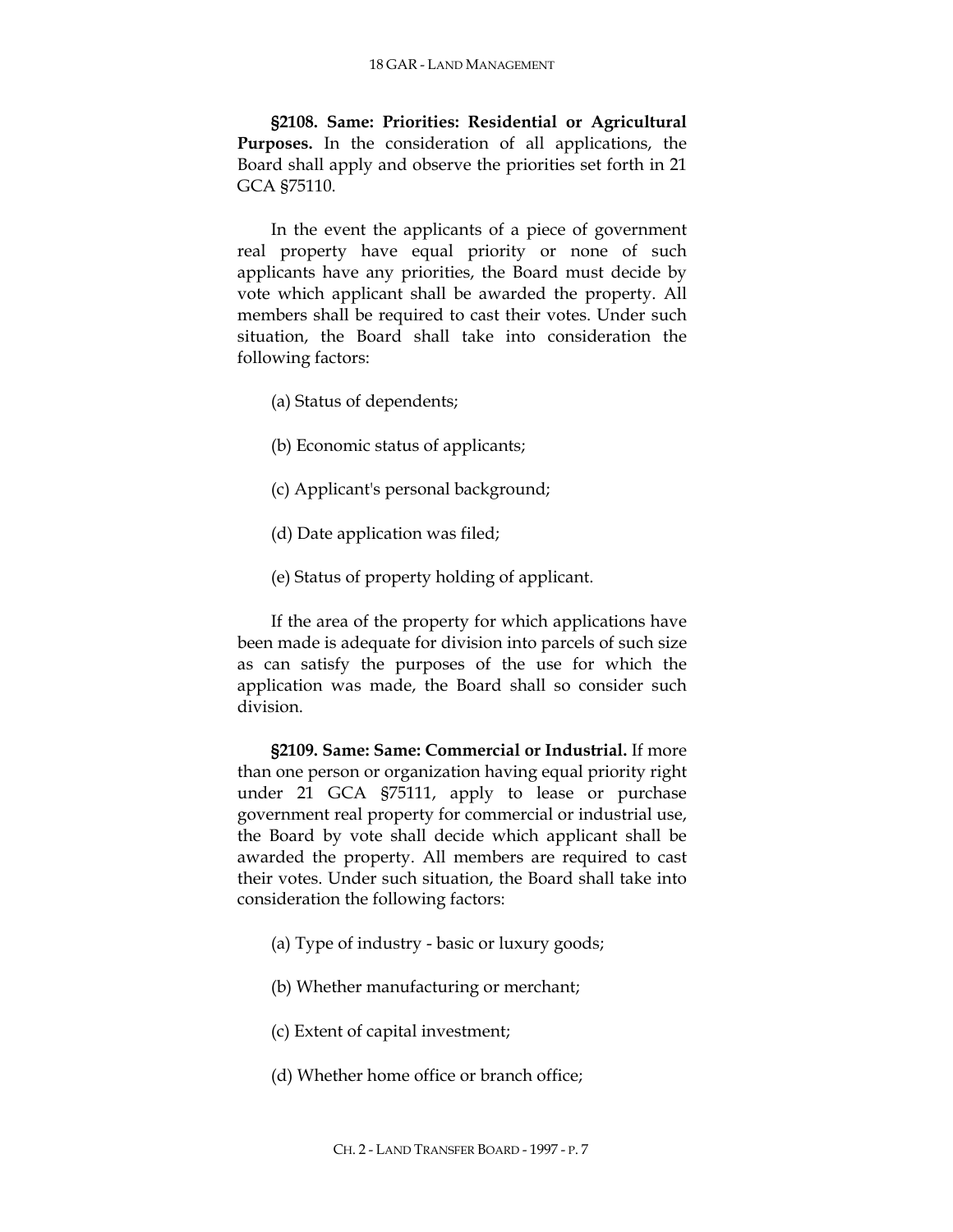**§2108. Same: Priorities: Residential or Agricultural Purposes.** In the consideration of all applications, the Board shall apply and observe the priorities set forth in 21 GCA §75110.

In the event the applicants of a piece of government real property have equal priority or none of such applicants have any priorities, the Board must decide by vote which applicant shall be awarded the property. All members shall be required to cast their votes. Under such situation, the Board shall take into consideration the following factors:

- (a) Status of dependents;
- (b) Economic status of applicants;
- (c) Applicant's personal background;
- (d) Date application was filed;
- (e) Status of property holding of applicant.

If the area of the property for which applications have been made is adequate for division into parcels of such size as can satisfy the purposes of the use for which the application was made, the Board shall so consider such division.

**§2109. Same: Same: Commercial or Industrial.** If more than one person or organization having equal priority right under 21 GCA §75111, apply to lease or purchase government real property for commercial or industrial use, the Board by vote shall decide which applicant shall be awarded the property. All members are required to cast their votes. Under such situation, the Board shall take into consideration the following factors:

- (a) Type of industry basic or luxury goods;
- (b) Whether manufacturing or merchant;
- (c) Extent of capital investment;
- (d) Whether home office or branch office;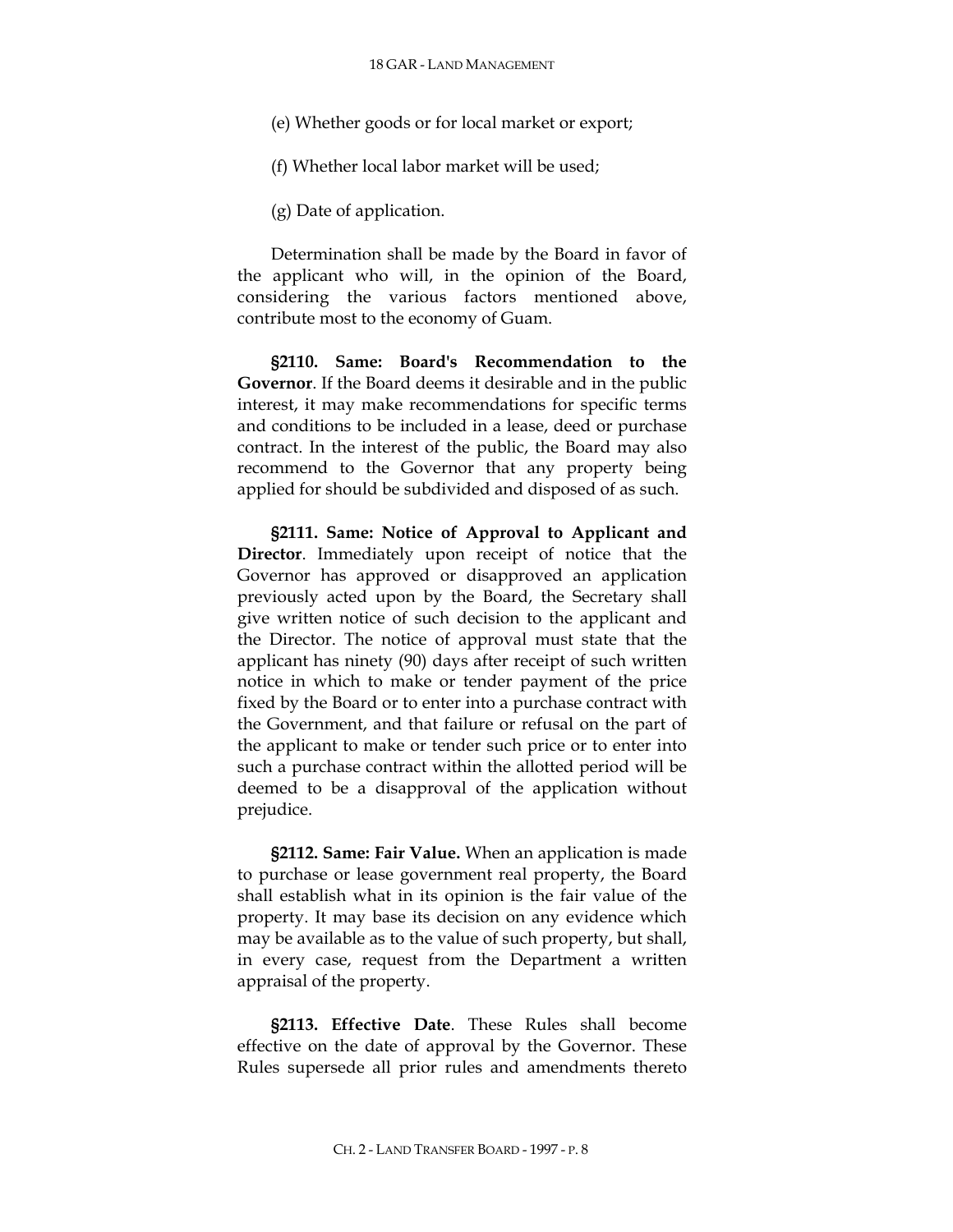(e) Whether goods or for local market or export;

(f) Whether local labor market will be used;

(g) Date of application.

Determination shall be made by the Board in favor of the applicant who will, in the opinion of the Board, considering the various factors mentioned above, contribute most to the economy of Guam.

**§2110. Same: Board's Recommendation to the Governor**. If the Board deems it desirable and in the public interest, it may make recommendations for specific terms and conditions to be included in a lease, deed or purchase contract. In the interest of the public, the Board may also recommend to the Governor that any property being applied for should be subdivided and disposed of as such.

**§2111. Same: Notice of Approval to Applicant and Director**. Immediately upon receipt of notice that the Governor has approved or disapproved an application previously acted upon by the Board, the Secretary shall give written notice of such decision to the applicant and the Director. The notice of approval must state that the applicant has ninety (90) days after receipt of such written notice in which to make or tender payment of the price fixed by the Board or to enter into a purchase contract with the Government, and that failure or refusal on the part of the applicant to make or tender such price or to enter into such a purchase contract within the allotted period will be deemed to be a disapproval of the application without prejudice.

**§2112. Same: Fair Value.** When an application is made to purchase or lease government real property, the Board shall establish what in its opinion is the fair value of the property. It may base its decision on any evidence which may be available as to the value of such property, but shall, in every case, request from the Department a written appraisal of the property.

**§2113. Effective Date**. These Rules shall become effective on the date of approval by the Governor. These Rules supersede all prior rules and amendments thereto